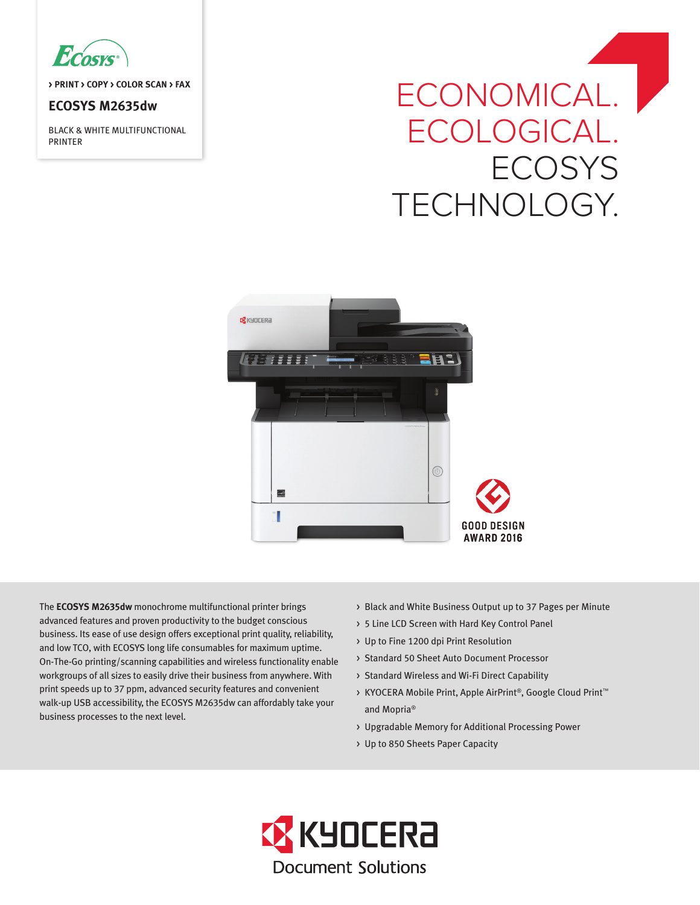

**> PRINT > COPY > COLOR SCAN > FAX**

## **ECOSYS M2635dw**

BLACK & WHITE MULTIFUNCTIONAL PRINTER

# ECONOMICAL. | ECOLOGICAL. **ECOSYS** TECHNOLOGY.



The **ECOSYS M2635dw** monochrome multifunctional printer brings advanced features and proven productivity to the budget conscious business. Its ease of use design offers exceptional print quality, reliability, and low TCO, with ECOSYS long life consumables for maximum uptime. On-The-Go printing/scanning capabilities and wireless functionality enable workgroups of all sizes to easily drive their business from anywhere. With print speeds up to 37 ppm, advanced security features and convenient walk-up USB accessibility, the ECOSYS M2635dw can affordably take your business processes to the next level.

- > Black and White Business Output up to 37 Pages per Minute
- > 5 Line LCD Screen with Hard Key Control Panel
- > Up to Fine 1200 dpi Print Resolution
- > Standard 50 Sheet Auto Document Processor
- > Standard Wireless and Wi-Fi Direct Capability
- > KYOCERA Mobile Print, Apple AirPrint®, Google Cloud Print™ and Mopria®
- > Upgradable Memory for Additional Processing Power
- > Up to 850 Sheets Paper Capacity